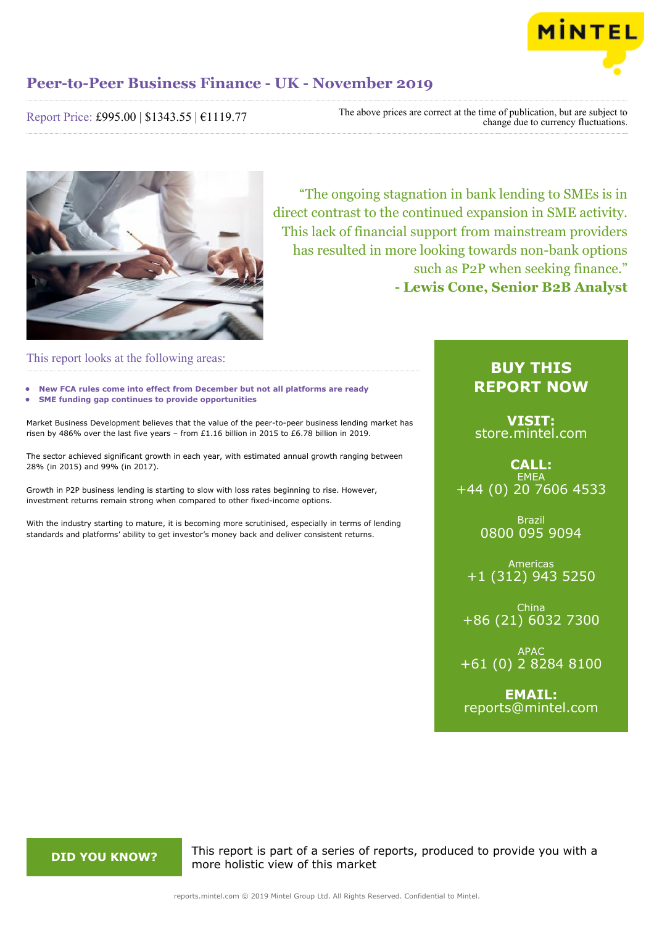

Report Price: £995.00 | \$1343.55 | €1119.77

The above prices are correct at the time of publication, but are subject to change due to currency fluctuations.



"The ongoing stagnation in bank lending to SMEs is in direct contrast to the continued expansion in SME activity. This lack of financial support from mainstream providers has resulted in more looking towards non-bank options such as P2P when seeking finance." **- Lewis Cone, Senior B2B Analyst**

### This report looks at the following areas:

- **• New FCA rules come into effect from December but not all platforms are ready**
- **• SME funding gap continues to provide opportunities**

Market Business Development believes that the value of the peer-to-peer business lending market has risen by 486% over the last five years – from £1.16 billion in 2015 to £6.78 billion in 2019.

The sector achieved significant growth in each year, with estimated annual growth ranging between 28% (in 2015) and 99% (in 2017).

Growth in P2P business lending is starting to slow with loss rates beginning to rise. However, investment returns remain strong when compared to other fixed-income options.

With the industry starting to mature, it is becoming more scrutinised, especially in terms of lending standards and platforms' ability to get investor's money back and deliver consistent returns.

## **BUY THIS REPORT NOW**

**VISIT:** [store.mintel.com](/reports.mintel.com//display/store/920204/)

**CALL: EMEA** +44 (0) 20 7606 4533

> Brazil 0800 095 9094

Americas +1 (312) 943 5250

China +86 (21) 6032 7300

APAC +61 (0) 2 8284 8100

**EMAIL:** [reports@mintel.com](mailto:reports@mintel.com)

**DID YOU KNOW?** This report is part of a series of reports, produced to provide you with a more holistic view of this market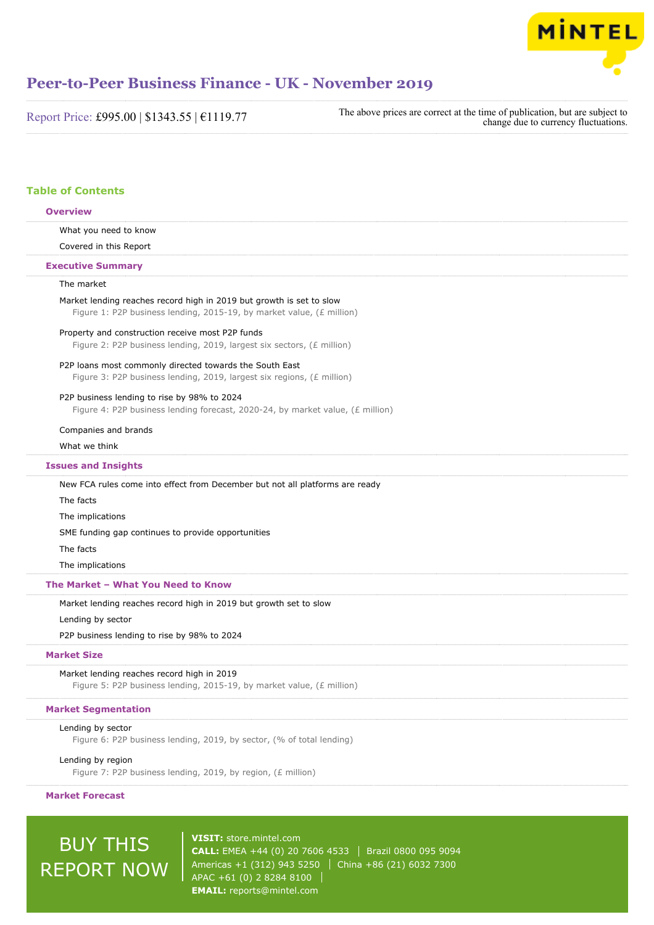

Report Price: £995.00 | \$1343.55 | €1119.77

The above prices are correct at the time of publication, but are subject to change due to currency fluctuations.

### **Table of Contents**

|                                    | <b>Overview</b>                                                                                                                               |  |
|------------------------------------|-----------------------------------------------------------------------------------------------------------------------------------------------|--|
|                                    | What you need to know                                                                                                                         |  |
|                                    | Covered in this Report                                                                                                                        |  |
|                                    | <b>Executive Summary</b>                                                                                                                      |  |
|                                    | The market                                                                                                                                    |  |
|                                    | Market lending reaches record high in 2019 but growth is set to slow<br>Figure 1: P2P business lending, 2015-19, by market value, (£ million) |  |
|                                    | Property and construction receive most P2P funds<br>Figure 2: P2P business lending, 2019, largest six sectors, (£ million)                    |  |
|                                    | P2P loans most commonly directed towards the South East                                                                                       |  |
|                                    | Figure 3: P2P business lending, 2019, largest six regions, (£ million)                                                                        |  |
|                                    | P2P business lending to rise by 98% to 2024<br>Figure 4: P2P business lending forecast, 2020-24, by market value, (£ million)                 |  |
|                                    | Companies and brands                                                                                                                          |  |
|                                    | What we think                                                                                                                                 |  |
|                                    | <b>Issues and Insights</b>                                                                                                                    |  |
|                                    | New FCA rules come into effect from December but not all platforms are ready                                                                  |  |
|                                    | The facts                                                                                                                                     |  |
|                                    | The implications                                                                                                                              |  |
|                                    | SME funding gap continues to provide opportunities                                                                                            |  |
|                                    | The facts                                                                                                                                     |  |
|                                    | The implications                                                                                                                              |  |
| The Market - What You Need to Know |                                                                                                                                               |  |
|                                    | Market lending reaches record high in 2019 but growth set to slow                                                                             |  |
|                                    | Lending by sector                                                                                                                             |  |
|                                    | P2P business lending to rise by 98% to 2024                                                                                                   |  |
| <b>Market Size</b>                 |                                                                                                                                               |  |
|                                    | Market lending reaches record high in 2019<br>Figure 5: P2P business lending, 2015-19, by market value, (£ million)                           |  |
| <b>Market Segmentation</b>         |                                                                                                                                               |  |
|                                    | Lending by sector                                                                                                                             |  |
|                                    | Figure 6: P2P business lending, 2019, by sector, (% of total lending)                                                                         |  |
|                                    | Lending by region<br>Figure 7: P2P business lending, 2019, by region, (£ million)                                                             |  |

**Market Forecast**

# BUY THIS REPORT NOW

**VISIT:** [store.mintel.com](/reports.mintel.com//display/store/920204/) **CALL:** EMEA +44 (0) 20 7606 4533 | Brazil 0800 095 9094 Americas +1 (312) 943 5250 China +86 (21) 6032 7300 APAC +61 (0) 2 8284 8100 **EMAIL:** [reports@mintel.com](mailto:reports@mintel.com)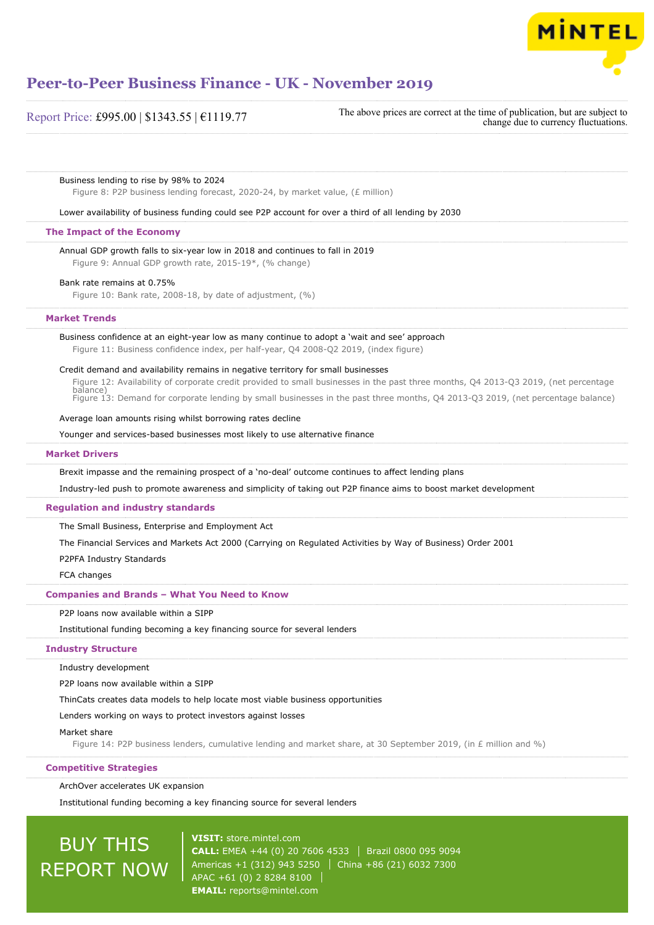

| Report Price: £995.00   \$1343.55   €1119.77 |  |  |
|----------------------------------------------|--|--|
|----------------------------------------------|--|--|

The above prices are correct at the time of publication, but are subject to change due to currency fluctuations.

#### Business lending to rise by 98% to 2024

Figure 8: P2P business lending forecast, 2020-24, by market value, (£ million)

Lower availability of business funding could see P2P account for over a third of all lending by 2030

#### **The Impact of the Economy**

Annual GDP growth falls to six-year low in 2018 and continues to fall in 2019 Figure 9: Annual GDP growth rate, 2015-19\*, (% change)

Bank rate remains at 0.75%

Figure 10: Bank rate, 2008-18, by date of adjustment, (%)

#### **Market Trends**

### Business confidence at an eight-year low as many continue to adopt a 'wait and see' approach

Figure 11: Business confidence index, per half-year, Q4 2008-Q2 2019, (index figure)

#### Credit demand and availability remains in negative territory for small businesses

Figure 12: Availability of corporate credit provided to small businesses in the past three months, Q4 2013-Q3 2019, (net percentage balance)

Figure 13: Demand for corporate lending by small businesses in the past three months, Q4 2013-Q3 2019, (net percentage balance)

#### Average loan amounts rising whilst borrowing rates decline

Younger and services-based businesses most likely to use alternative finance

#### **Market Drivers**

Brexit impasse and the remaining prospect of a 'no-deal' outcome continues to affect lending plans

Industry-led push to promote awareness and simplicity of taking out P2P finance aims to boost market development

#### **Regulation and industry standards**

The Small Business, Enterprise and Employment Act

The Financial Services and Markets Act 2000 (Carrying on Regulated Activities by Way of Business) Order 2001

P2PFA Industry Standards

FCA changes

#### **Companies and Brands – What You Need to Know**

P2P loans now available within a SIPP

Institutional funding becoming a key financing source for several lenders

#### **Industry Structure**

Industry development

P2P loans now available within a SIPP

ThinCats creates data models to help locate most viable business opportunities

#### Lenders working on ways to protect investors against losses

#### Market share

Figure 14: P2P business lenders, cumulative lending and market share, at 30 September 2019, (in £ million and %)

#### **Competitive Strategies**

ArchOver accelerates UK expansion

Institutional funding becoming a key financing source for several lenders

# BUY THIS REPORT NOW

**VISIT:** [store.mintel.com](/reports.mintel.com//display/store/920204/) **CALL:** EMEA +44 (0) 20 7606 4533 Brazil 0800 095 9094 Americas +1 (312) 943 5250 China +86 (21) 6032 7300 APAC +61 (0) 2 8284 8100 **EMAIL:** [reports@mintel.com](mailto:reports@mintel.com)